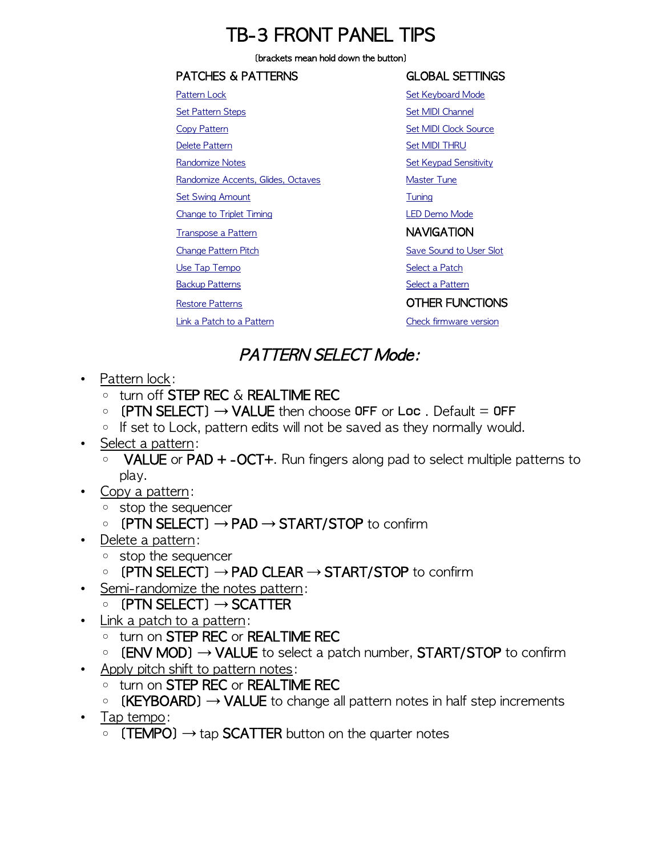## TB-3 FRONT PANEL TIPS

#### [brackets mean hold down the button]

#### PATCHES & PATTERNS GLOBAL SETTINGS [Pattern Lock](#page-0-0) **[Set Keyboard Mode](#page-1-13)** [Set Pattern Steps](#page-1-12) [Set MIDI Channel](#page-1-11) [Copy Pattern](#page-0-7) [Set MIDI Clock Source](#page-1-10) [Delete Pattern](#page-0-6) [Set MIDI THRU](#page-1-9) [Randomize Notes](#page-0-5) **[Set Keypad Sensitivity](#page-1-8)** Set Keypad Sensitivity [Randomize Accents, Glides, Octaves](#page-1-7) [Master Tune](#page-1-6) [Set Swing Amount](#page-1-5) [Tuning](#page-2-3) [Change to Triplet Timing](#page-1-4) Change to Triplet Timing [Transpose a Pattern](#page-1-2) NAVIGATION [Change Pattern Pitch](#page-0-4) [Save Sound to User Slot](#page-1-1) [Use Tap Tempo](#page-0-3) [Select a Patch](#page-1-0) [Backup Patterns](#page-2-2) [Select a Pattern](#page-0-2) Select a Pattern [Restore Patterns](#page-2-1) **COLLER FUNCTIONS** [Link a Patch to a Pattern](#page-0-1) [Check firmware version](#page-2-0)

#### PATTERN SELECT Mode:

- <span id="page-0-0"></span>• Pattern lock:
	- turn off STEP REC & REALTIME REC
	- $\circ$  (PTN SELECT)  $\rightarrow$  VALUE then choose OFF or Loc. Default = OFF
	- If set to Lock, pattern edits will not be saved as they normally would.
- <span id="page-0-2"></span>• Select a pattern:
	- VALUE or PAD + -OCT+. Run fingers along pad to select multiple patterns to play.
- <span id="page-0-7"></span>• Copy a pattern:
	- stop the sequencer
	- [PTN SELECT] → PAD → START/STOP to confirm
- <span id="page-0-6"></span>• Delete a pattern:
	- stop the sequencer
	- [PTN SELECT] → PAD CLEAR → START/STOP to confirm
- <span id="page-0-5"></span>• Semi-randomize the notes pattern:
- [PTN SELECT] → SCATTER
- <span id="page-0-1"></span>• Link a patch to a pattern:
	- turn on STEP REC or REALTIME REC
	- $\circ$  (ENV MOD)  $\rightarrow$  VALUE to select a patch number, START/STOP to confirm
- <span id="page-0-4"></span>• Apply pitch shift to pattern notes:
	- turn on STEP REC or REALTIME REC
	- $\circ$  (KEYBOARD)  $\rightarrow$  VALUE to change all pattern notes in half step increments
- <span id="page-0-3"></span>• Tap tempo:
	- $\circ$  (TEMPO)  $\rightarrow$  tap SCATTER button on the quarter notes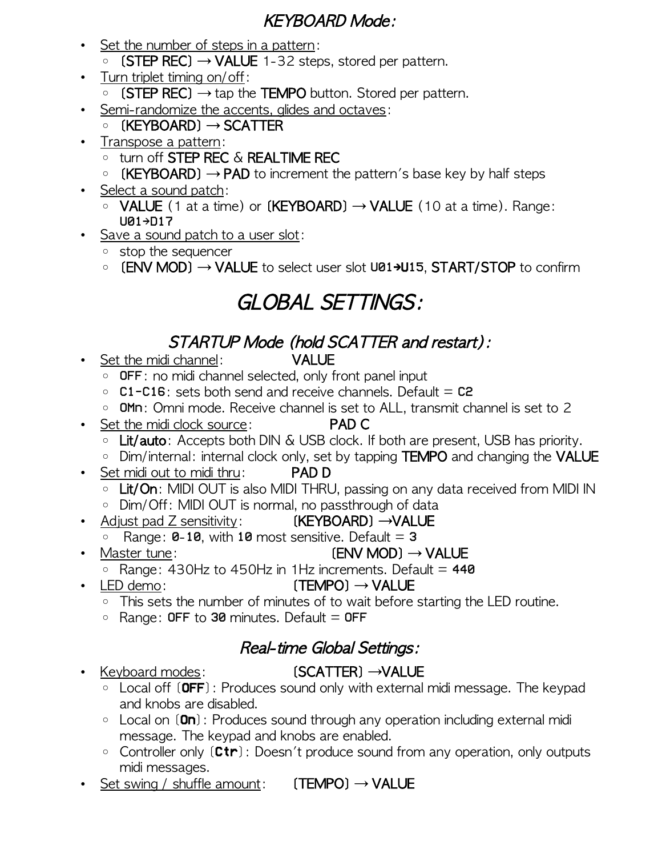#### KEYBOARD Mode:

- <span id="page-1-12"></span>• Set the number of steps in a pattern:
	- [STEP REC] → VALUE 1-32 steps, stored per pattern.
- <span id="page-1-4"></span>• Turn triplet timing on/off:
	- [STEP REC] → tap the TEMPO button. Stored per pattern.
- <span id="page-1-7"></span>• Semi-randomize the accents, glides and octaves:
	- $\circ$  [KEYBOARD]  $\rightarrow$  SCATTER
- <span id="page-1-2"></span>• Transpose a pattern:
	- turn off STEP REC & REALTIME REC
	- $\circ$  (KEYBOARD)  $\rightarrow$  PAD to increment the pattern's base key by half steps
- <span id="page-1-0"></span>• Select a sound patch:
	- VALUE (1 at a time) or [KEYBOARD] → VALUE (10 at a time). Range: U01→D17
- <span id="page-1-1"></span>• Save a sound patch to a user slot:
	- stop the sequencer
	- [ENV MOD] → VALUE to select user slot U01→U15, START/STOP to confirm

# GLOBAL SETTINGS:

### STARTUP Mode (hold SCATTER and restart):

- <span id="page-1-11"></span>• Set the midi channel: VALUE
	-
	- OFF: no midi channel selected, only front panel input
	- C1-C16: sets both send and receive channels. Default = C2
	- OMn: Omni mode. Receive channel is set to ALL, transmit channel is set to 2
- <span id="page-1-10"></span>• Set the midi clock source: PAD C
	- Lit/auto: Accepts both DIN & USB clock. If both are present, USB has priority.
	- Dim/internal: internal clock only, set by tapping TEMPO and changing the VALUE
- <span id="page-1-9"></span>• Set midi out to midi thru: PAD D
	- Lit/On: MIDI OUT is also MIDI THRU, passing on any data received from MIDI IN
	- Dim/Off: MIDI OUT is normal, no passthrough of data
- <span id="page-1-8"></span>• Adjust pad Z sensitivity: **(KEYBOARD) →VALUE** 
	- $\circ$  Range: **0-10**, with 10 most sensitive. Default = 3
- <span id="page-1-6"></span>• Master tune:  $(env \text{ MOD}) \rightarrow VALUE$  $\circ$  Range: 430Hz to 450Hz in 1Hz increments. Default = 440
- <span id="page-1-3"></span>• LED demo:  $(TEMPO) \rightarrow VALUE$ 
	- This sets the number of minutes of to wait before starting the LED routine.
	- $\circ$  Range: OFF to 30 minutes. Default = OFF

### Real-time Global Settings:

#### • Keyboard modes: [SCATTER] →VALUE

- <span id="page-1-13"></span>◦ Local off [OFF]: Produces sound only with external midi message. The keypad and knobs are disabled.
- Local on [On]: Produces sound through any operation including external midi message. The keypad and knobs are enabled.
- Controller only [Ctr]: Doesn't produce sound from any operation, only outputs midi messages.
- <span id="page-1-5"></span>• Set swing / shuffle amount:  $(TEMPO) \rightarrow VALUE$